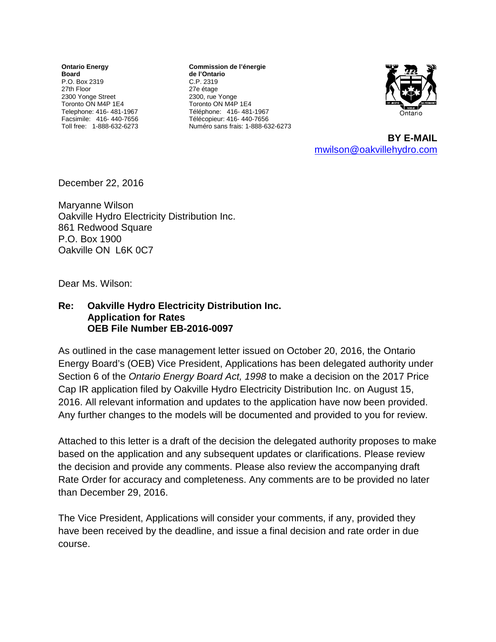**Ontario Energy Board** P.O. Box 2319 27th Floor 2300 Yonge Street Toronto ON M4P 1E4 Telephone: 416- 481-1967 Facsimile: 416- 440-7656 Toll free: 1-888-632-6273

**Commission de l'énergie de l'Ontario** C.P. 2319 27e étage 2300, rue Yonge Toronto ON M4P 1E4 Téléphone: 416- 481-1967 Télécopieur: 416- 440-7656 Numéro sans frais: 1-888-632-6273



**BY E-MAIL**  [mwilson@oakvillehydro.com](mailto:mwilson@oakvillehydro.com)

December 22, 2016

Maryanne Wilson Oakville Hydro Electricity Distribution Inc. 861 Redwood Square P.O. Box 1900 Oakville ON L6K 0C7

Dear Ms. Wilson:

## **Re: Oakville Hydro Electricity Distribution Inc. Application for Rates OEB File Number EB-2016-0097**

As outlined in the case management letter issued on October 20, 2016, the Ontario Energy Board's (OEB) Vice President, Applications has been delegated authority under Section 6 of the *Ontario Energy Board Act, 1998* to make a decision on the 2017 Price Cap IR application filed by Oakville Hydro Electricity Distribution Inc. on August 15, 2016. All relevant information and updates to the application have now been provided. Any further changes to the models will be documented and provided to you for review.

Attached to this letter is a draft of the decision the delegated authority proposes to make based on the application and any subsequent updates or clarifications. Please review the decision and provide any comments. Please also review the accompanying draft Rate Order for accuracy and completeness. Any comments are to be provided no later than December 29, 2016.

The Vice President, Applications will consider your comments, if any, provided they have been received by the deadline, and issue a final decision and rate order in due course.